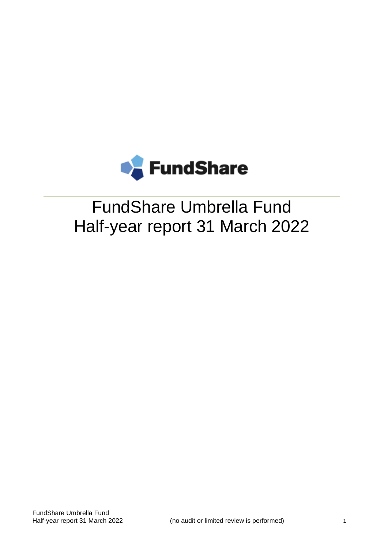

# FundShare Umbrella Fund Half-year report 31 March 2022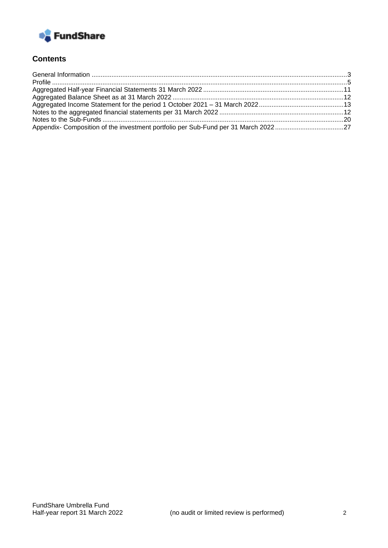

## **Contents**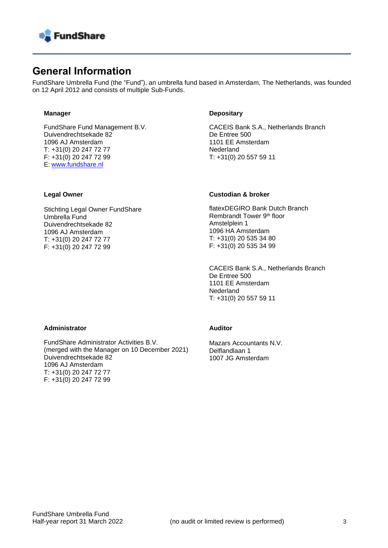

## <span id="page-2-0"></span>**General Information**

FundShare Umbrella Fund (the "Fund"), an umbrella fund based in Amsterdam, The Netherlands, was founded on 12 April 2012 and consists of multiple Sub-Funds.

#### **Manager**

FundShare Fund Management B.V. Duivendrechtsekade 82 1096 AJ Amsterdam T: +31(0) 20 247 72 77 F: +31(0) 20 247 72 99 E: [www.fundshare.nl](https://fundshare.nl/)

#### **Depositary**

CACEIS Bank S.A., Netherlands Branch De Entree 500 1101 EE Amsterdam **Nederland** T: +31(0) 20 557 59 11

#### **Legal Owner**

Stichting Legal Owner FundShare Umbrella Fund Duivendrechtsekade 82 1096 AJ Amsterdam T: +31(0) 20 247 72 77 F: +31(0) 20 247 72 99

#### **Custodian & broker**

flatexDEGIRO Bank Dutch Branch Rembrandt Tower 9th floor Amstelplein 1 1096 HA Amsterdam T: +31(0) 20 535 34 80 F: +31(0) 20 535 34 99

CACEIS Bank S.A., Netherlands Branch De Entree 500 1101 EE Amsterdam Nederland T: +31(0) 20 557 59 11

#### **Administrator**

FundShare Administrator Activities B.V. (merged with the Manager on 10 December 2021) Duivendrechtsekade 82 1096 AJ Amsterdam T: +31(0) 20 247 72 77 F: +31(0) 20 247 72 99

#### **Auditor**

Mazars Accountants N.V. Delflandlaan 1 1007 JG Amsterdam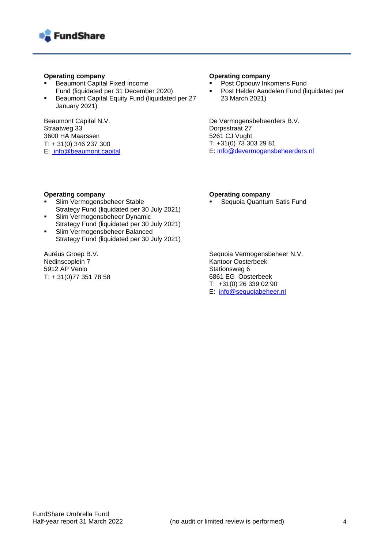

#### **Operating company**

- **Beaumont Capital Fixed Income** Fund (liquidated per 31 December 2020)
- Beaumont Capital Equity Fund (liquidated per 27 January 2021)

Beaumont Capital N.V. Straatweg 33 3600 HA Maarssen  $T: + 31(0)$  346 237 300 E: info@beaumont.capital

#### **Operating company**

- Post Opbouw Inkomens Fund
- Post Helder Aandelen Fund (liquidated per 23 March 2021)

De Vermogensbeheerders B.V. Dorpsstraat 27 5261 CJ Vught T: +31(0) 73 303 29 81 E: [Info@devermogensbeheerders.nl](mailto:Info@devermogensbeheerders.nl)

#### **Operating company**

- Slim Vermogensbeheer Stable Strategy Fund (liquidated per 30 July 2021)
- **·** Slim Vermogensbeheer Dynamic Strategy Fund (liquidated per 30 July 2021)
- **Example 15 Slim Vermogensbeheer Balanced** Strategy Fund (liquidated per 30 July 2021)

<span id="page-3-0"></span>Auréus Groep B.V. Nedinscoplein 7 5912 AP Venlo • T: + 31(0)77 351 78 58

#### **Operating company**

Sequoia Quantum Satis Fund

Sequoia Vermogensbeheer N.V. Kantoor Oosterbeek Stationsweg 6 6861 EG Oosterbeek T: +31(0) 26 339 02 90 E: [info@sequoiabeheer.nl](mailto:info@sequoiabeheer.nl)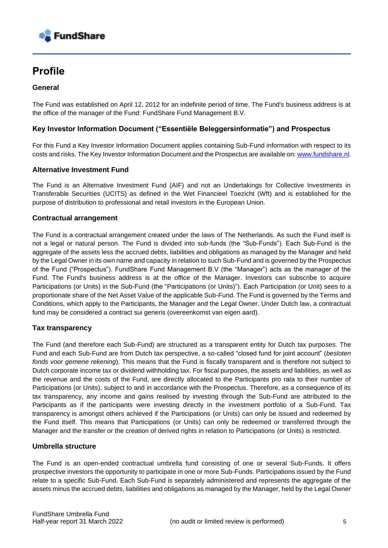

# **Profile**

#### **General**

The Fund was established on April 12, 2012 for an indefinite period of time. The Fund's business address is at the office of the manager of the Fund: FundShare Fund Management B.V.

#### **Key Investor Information Document ("Essentiële Beleggersinformatie") and Prospectus**

For this Fund a Key Investor Information Document applies containing Sub-Fund information with respect to its costs and risks. The Key Investor Information Document and the Prospectus are available on: [www.fundshare.nl.](https://fundshare.nl/documenten)

#### **Alternative Investment Fund**

The Fund is an Alternative Investment Fund (AIF) and not an Undertakings for Collective Investments in Transferable Securities (UCITS) as defined in the Wet Financieel Toezicht (Wft) and is established for the purpose of distribution to professional and retail investors in the European Union.

#### **Contractual arrangement**

The Fund is a contractual arrangement created under the laws of The Netherlands. As such the Fund itself is not a legal or natural person. The Fund is divided into sub-funds (the "Sub-Funds"). Each Sub-Fund is the aggregate of the assets less the accrued debts, liabilities and obligations as managed by the Manager and held by the Legal Owner in its own name and capacity in relation to such Sub-Fund and is governed by the Prospectus of the Fund ("Prospectus"). FundShare Fund Management B.V (the "Manager") acts as the manager of the Fund. The Fund's business address is at the office of the Manager. Investors can subscribe to acquire Participations (or Units) in the Sub-Fund (the "Participations (or Units)"). Each Participation (or Unit) sees to a proportionate share of the Net Asset Value of the applicable Sub-Fund. The Fund is governed by the Terms and Conditions, which apply to the Participants, the Manager and the Legal Owner. Under Dutch law, a contractual fund may be considered a contract sui generis (overeenkomst van eigen aard).

#### **Tax transparency**

The Fund (and therefore each Sub-Fund) are structured as a transparent entity for Dutch tax purpo*ses.* The Fund and each Sub-Fund are from Dutch tax perspective, a so-called "closed fund for joint account" (*besloten fonds voor gemene rekening*). This means that the Fund is fiscally transparent and is therefore not subject to Dutch corporate income tax or dividend withholding tax. For fiscal purposes, the assets and liabilities, as well as the revenue and the costs of the Fund, are directly allocated to the Participants pro rata to their number of Participations (or Units), subject to and in accordance with the Prospectus. Therefore, as a consequence of its tax transparency, any income and gains realised by investing through the Sub-Fund are attributed to the Participants as if the participants were investing directly in the investment portfolio of a Sub-Fund. Tax transparency is amongst others achieved if the Participations (or Units) can only be issued and redeemed by the Fund itself. This means that Participations (or Units) can only be redeemed or transferred through the Manager and the transfer or the creation of derived rights in relation to Participations (or Units) is restricted.

#### **Umbrella structure**

The Fund is an open-ended contractual umbrella fund consisting of one or several Sub-Funds. It offers prospective investors the opportunity to participate in one or more Sub-Funds. Participations issued by the Fund relate to a specific Sub-Fund. Each Sub-Fund is separately administered and represents the aggregate of the assets minus the accrued debts, liabilities and obligations as managed by the Manager, held by the Legal Owner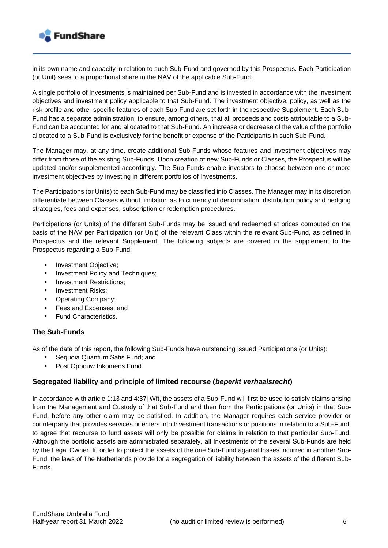

in its own name and capacity in relation to such Sub-Fund and governed by this Prospectus. Each Participation (or Unit) sees to a proportional share in the NAV of the applicable Sub-Fund.

A single portfolio of Investments is maintained per Sub-Fund and is invested in accordance with the investment objectives and investment policy applicable to that Sub-Fund. The investment objective, policy, as well as the risk profile and other specific features of each Sub-Fund are set forth in the respective Supplement. Each Sub-Fund has a separate administration, to ensure, among others, that all proceeds and costs attributable to a Sub-Fund can be accounted for and allocated to that Sub-Fund. An increase or decrease of the value of the portfolio allocated to a Sub-Fund is exclusively for the benefit or expense of the Participants in such Sub-Fund.

The Manager may, at any time, create additional Sub-Funds whose features and investment objectives may differ from those of the existing Sub-Funds. Upon creation of new Sub-Funds or Classes, the Prospectus will be updated and/or supplemented accordingly. The Sub-Funds enable investors to choose between one or more investment objectives by investing in different portfolios of Investments.

The Participations (or Units) to each Sub-Fund may be classified into Classes. The Manager may in its discretion differentiate between Classes without limitation as to currency of denomination, distribution policy and hedging strategies, fees and expenses, subscription or redemption procedures.

Participations (or Units) of the different Sub-Funds may be issued and redeemed at prices computed on the basis of the NAV per Participation (or Unit) of the relevant Class within the relevant Sub-Fund, as defined in Prospectus and the relevant Supplement. The following subjects are covered in the supplement to the Prospectus regarding a Sub-Fund:

- **■** Investment Objective:
- **■** Investment Policy and Techniques;
- **Investment Restrictions:**
- Investment Risks:
- Operating Company;
- Fees and Expenses; and
- **Fund Characteristics.**

#### **The Sub-Funds**

As of the date of this report, the following Sub-Funds have outstanding issued Participations (or Units):

- Sequoia Quantum Satis Fund; and
- Post Opbouw Inkomens Fund.

#### **Segregated liability and principle of limited recourse (***beperkt verhaalsrecht***)**

In accordance with article 1:13 and 4:37j Wft, the assets of a Sub-Fund will first be used to satisfy claims arising from the Management and Custody of that Sub-Fund and then from the Participations (or Units) in that Sub-Fund, before any other claim may be satisfied. In addition, the Manager requires each service provider or counterparty that provides services or enters into Investment transactions or positions in relation to a Sub-Fund, to agree that recourse to fund assets will only be possible for claims in relation to that particular Sub-Fund. Although the portfolio assets are administrated separately, all Investments of the several Sub-Funds are held by the Legal Owner. In order to protect the assets of the one Sub-Fund against losses incurred in another Sub-Fund, the laws of The Netherlands provide for a segregation of liability between the assets of the different Sub-Funds.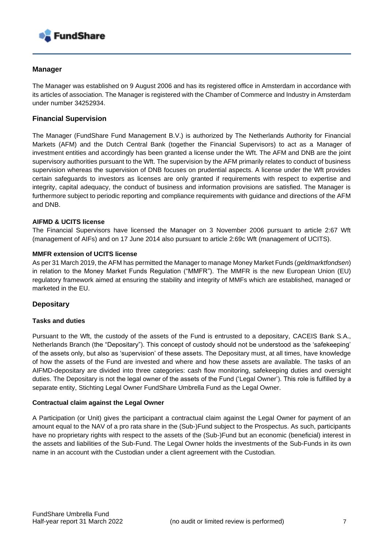

#### **Manager**

The Manager was established on 9 August 2006 and has its registered office in Amsterdam in accordance with its articles of association. The Manager is registered with the Chamber of Commerce and Industry in Amsterdam under number 34252934.

#### **Financial Supervision**

The Manager (FundShare Fund Management B.V.) is authorized by The Netherlands Authority for Financial Markets (AFM) and the Dutch Central Bank (together the Financial Supervisors) to act as a Manager of investment entities and accordingly has been granted a license under the Wft. The AFM and DNB are the joint supervisory authorities pursuant to the Wft. The supervision by the AFM primarily relates to conduct of business supervision whereas the supervision of DNB focuses on prudential aspects. A license under the Wft provides certain safeguards to investors as licenses are only granted if requirements with respect to expertise and integrity, capital adequacy, the conduct of business and information provisions are satisfied. The Manager is furthermore subject to periodic reporting and compliance requirements with guidance and directions of the AFM and DNB.

#### **AIFMD & UCITS license**

The Financial Supervisors have licensed the Manager on 3 November 2006 pursuant to article 2:67 Wft (management of AIFs) and on 17 June 2014 also pursuant to article 2:69c Wft (management of UCITS).

#### **MMFR extension of UCITS license**

As per 31 March 2019, the AFM has permitted the Manager to manage Money Market Funds (*geldmarktfondsen*) in relation to the Money Market Funds Regulation ("MMFR"). The MMFR is the new European Union (EU) regulatory framework aimed at ensuring the stability and integrity of MMFs which are established, managed or marketed in the EU.

#### **Depositary**

#### **Tasks and duties**

Pursuant to the Wft, the custody of the assets of the Fund is entrusted to a depositary, CACEIS Bank S.A., Netherlands Branch (the "Depositary"). This concept of custody should not be understood as the 'safekeeping' of the assets only, but also as 'supervision' of these assets. The Depositary must, at all times, have knowledge of how the assets of the Fund are invested and where and how these assets are available. The tasks of an AIFMD-depositary are divided into three categories: cash flow monitoring, safekeeping duties and oversight duties. The Depositary is not the legal owner of the assets of the Fund ('Legal Owner'). This role is fulfilled by a separate entity, Stichting Legal Owner FundShare Umbrella Fund as the Legal Owner.

#### **Contractual claim against the Legal Owner**

A Participation (or Unit) gives the participant a contractual claim against the Legal Owner for payment of an amount equal to the NAV of a pro rata share in the (Sub-)Fund subject to the Prospectus. As such, participants have no proprietary rights with respect to the assets of the (Sub-)Fund but an economic (beneficial) interest in the assets and liabilities of the Sub-Fund. The Legal Owner holds the investments of the Sub-Funds in its own name in an account with the Custodian under a client agreement with the Custodian.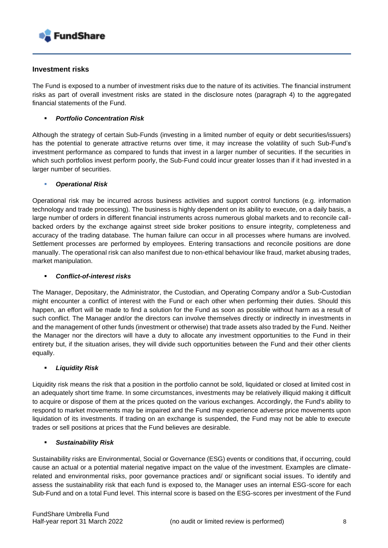

#### **Investment risks**

The Fund is exposed to a number of investment risks due to the nature of its activities. The financial instrument risks as part of overall investment risks are stated in the disclosure notes (paragraph 4) to the aggregated financial statements of the Fund.

#### <span id="page-7-0"></span>**Portfolio Concentration Risk**

Although the strategy of certain Sub-Funds (investing in a limited number of equity or debt securities/issuers) has the potential to generate attractive returns over time, it may increase the volatility of such Sub-Fund's investment performance as compared to funds that invest in a larger number of securities. If the securities in which such portfolios invest perform poorly, the Sub-Fund could incur greater losses than if it had invested in a larger number of securities.

#### ▪ *Operational Risk*

Operational risk may be incurred across business activities and support control functions (e.g. information technology and trade processing). The business is highly dependent on its ability to execute, on a daily basis, a large number of orders in different financial instruments across numerous global markets and to reconcile callbacked orders by the exchange against street side broker positions to ensure integrity, completeness and accuracy of the trading database. The human failure can occur in all processes where humans are involved. Settlement processes are performed by employees. Entering transactions and reconcile positions are done manually. The operational risk can also manifest due to non-ethical behaviour like fraud, market abusing trades, market manipulation.

#### ▪ *Conflict-of-interest risks*

The Manager, Depositary, the Administrator, the Custodian, and Operating Company and/or a Sub-Custodian might encounter a conflict of interest with the Fund or each other when performing their duties. Should this happen, an effort will be made to find a solution for the Fund as soon as possible without harm as a result of such conflict. The Manager and/or the directors can involve themselves directly or indirectly in investments in and the management of other funds (investment or otherwise) that trade assets also traded by the Fund. Neither the Manager nor the directors will have a duty to allocate any investment opportunities to the Fund in their entirety but, if the situation arises, they will divide such opportunities between the Fund and their other clients equally.

#### ▪ *Liquidity Risk*

Liquidity risk means the risk that a position in the portfolio cannot be sold, liquidated or closed at limited cost in an adequately short time frame. In some circumstances, investments may be relatively illiquid making it difficult to acquire or dispose of them at the prices quoted on the various exchanges. Accordingly, the Fund's ability to respond to market movements may be impaired and the Fund may experience adverse price movements upon liquidation of its investments. If trading on an exchange is suspended, the Fund may not be able to execute trades or sell positions at prices that the Fund believes are desirable.

#### ▪ *Sustainability Risk*

Sustainability risks are Environmental, Social or Governance (ESG) events or conditions that, if occurring, could cause an actual or a potential material negative impact on the value of the investment. Examples are climaterelated and environmental risks, poor governance practices and/ or significant social issues. To identify and assess the sustainability risk that each fund is exposed to, the Manager uses an internal ESG-score for each Sub-Fund and on a total Fund level. This internal score is based on the ESG-scores per investment of the Fund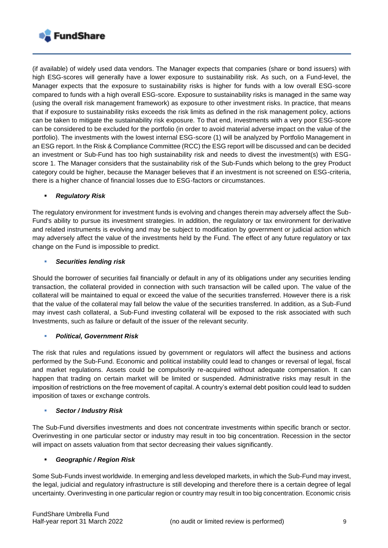

(if available) of widely used data vendors. The Manager expects that companies (share or bond issuers) with high ESG-scores will generally have a lower exposure to sustainability risk. As such, on a Fund-level, the Manager expects that the exposure to sustainability risks is higher for funds with a low overall ESG-score compared to funds with a high overall ESG-score. Exposure to sustainability risks is managed in the same way (using the overall risk management framework) as exposure to other investment risks. In practice, that means that if exposure to sustainability risks exceeds the risk limits as defined in the risk management policy, actions can be taken to mitigate the sustainability risk exposure. To that end, investments with a very poor ESG-score can be considered to be excluded for the portfolio (in order to avoid material adverse impact on the value of the portfolio). The investments with the lowest internal ESG-score (1) will be analyzed by Portfolio Management in an ESG report. In the Risk & Compliance Committee (RCC) the ESG report will be discussed and can be decided an investment or Sub-Fund has too high sustainability risk and needs to divest the investment(s) with ESGscore 1. The Manager considers that the sustainability risk of the Sub-Funds which belong to the grey Product category could be higher, because the Manager believes that if an investment is not screened on ESG-criteria, there is a higher chance of financial losses due to ESG-factors or circumstances.

#### ▪ *Regulatory Risk*

The regulatory environment for investment funds is evolving and changes therein may adversely affect the Sub-Fund's ability to pursue its investment strategies. In addition, the regulatory or tax environment for derivative and related instruments is evolving and may be subject to modification by government or judicial action which may adversely affect the value of the investments held by the Fund. The effect of any future regulatory or tax change on the Fund is impossible to predict.

#### **Securities lending risk**

Should the borrower of securities fail financially or default in any of its obligations under any securities lending transaction, the collateral provided in connection with such transaction will be called upon. The value of the collateral will be maintained to equal or exceed the value of the securities transferred. However there is a risk that the value of the collateral may fall below the value of the securities transferred. In addition, as a Sub-Fund may invest cash collateral, a Sub-Fund investing collateral will be exposed to the risk associated with such Investments, such as failure or default of the issuer of the relevant security.

#### **Political, Government Risk**

The risk that rules and regulations issued by government or regulators will affect the business and actions performed by the Sub-Fund. Economic and political instability could lead to changes or reversal of legal, fiscal and market regulations. Assets could be compulsorily re-acquired without adequate compensation. It can happen that trading on certain market will be limited or suspended. Administrative risks may result in the imposition of restrictions on the free movement of capital. A country's external debt position could lead to sudden imposition of taxes or exchange controls.

#### ▪ *Sector / Industry Risk*

The Sub-Fund diversifies investments and does not concentrate investments within specific branch or sector. Overinvesting in one particular sector or industry may result in too big concentration. Recession in the sector will impact on assets valuation from that sector decreasing their values significantly.

#### ▪ *Geographic / Region Risk*

Some Sub-Funds invest worldwide. In emerging and less developed markets, in which the Sub-Fund may invest, the legal, judicial and regulatory infrastructure is still developing and therefore there is a certain degree of legal uncertainty. Overinvesting in one particular region or country may result in too big concentration. Economic crisis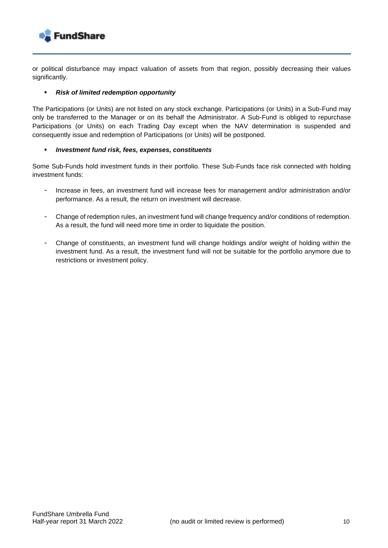

or political disturbance may impact valuation of assets from that region, possibly decreasing their values significantly.

#### ▪ *Risk of limited redemption opportunity*

The Participations (or Units) are not listed on any stock exchange. Participations (or Units) in a Sub-Fund may only be transferred to the Manager or on its behalf the Administrator. A Sub-Fund is obliged to repurchase Participations (or Units) on each Trading Day except when the NAV determination is suspended and consequently issue and redemption of Participations (or Units) will be postponed.

#### ▪ *Investment fund risk, fees, expenses, constituents*

Some Sub-Funds hold investment funds in their portfolio. These Sub-Funds face risk connected with holding investment funds:

- Increase in fees, an investment fund will increase fees for management and/or administration and/or performance. As a result, the return on investment will decrease.
- Change of redemption rules, an investment fund will change frequency and/or conditions of redemption. As a result, the fund will need more time in order to liquidate the position.
- Change of constituents, an investment fund will change holdings and/or weight of holding within the investment fund. As a result, the investment fund will not be suitable for the portfolio anymore due to restrictions or investment policy.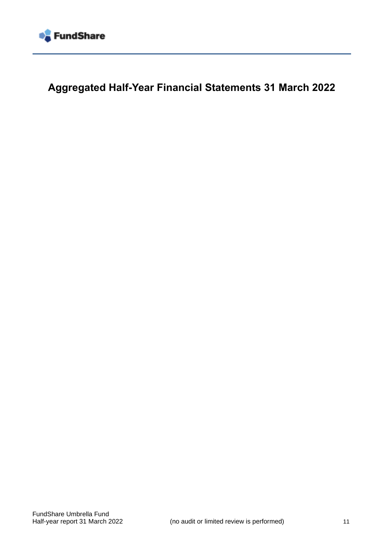

**Aggregated Half-Year Financial Statements 31 March 2022**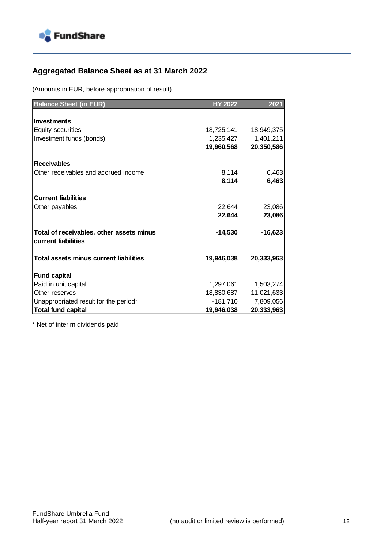

## <span id="page-11-0"></span>**Aggregated Balance Sheet as at 31 March 2022**

(Amounts in EUR, before appropriation of result)

| <b>Balance Sheet (in EUR)</b>                 | <b>HY 2022</b> | 2021       |
|-----------------------------------------------|----------------|------------|
|                                               |                |            |
| <b>Investments</b>                            |                |            |
| <b>Equity securities</b>                      | 18,725,141     | 18,949,375 |
| Investment funds (bonds)                      | 1,235,427      | 1,401,211  |
|                                               | 19,960,568     | 20,350,586 |
|                                               |                |            |
| <b>Receivables</b>                            |                |            |
| Other receivables and accrued income          | 8,114          | 6,463      |
|                                               | 8,114          | 6,463      |
|                                               |                |            |
| <b>Current liabilities</b>                    |                |            |
| Other payables                                | 22,644         | 23,086     |
|                                               | 22,644         | 23,086     |
| Total of receivables, other assets minus      | $-14,530$      | $-16,623$  |
| current liabilities                           |                |            |
| <b>Total assets minus current liabilities</b> | 19,946,038     |            |
|                                               |                | 20,333,963 |
| <b>Fund capital</b>                           |                |            |
| Paid in unit capital                          | 1,297,061      | 1,503,274  |
| Other reserves                                | 18,830,687     | 11,021,633 |
| Unappropriated result for the period*         | $-181,710$     | 7,809,056  |
| <b>Total fund capital</b>                     | 19,946,038     | 20,333,963 |

\* Net of interim dividends paid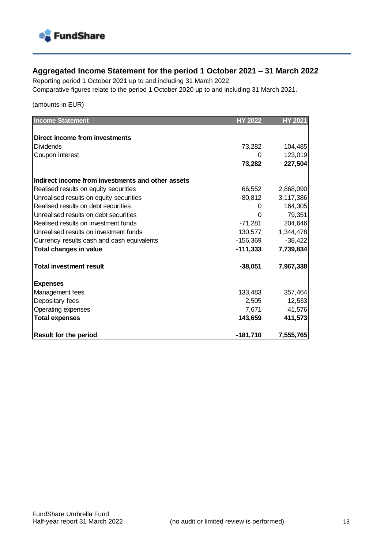

## <span id="page-12-0"></span>**Aggregated Income Statement for the period 1 October 2021 – 31 March 2022**

Reporting period 1 October 2021 up to and including 31 March 2022. Comparative figures relate to the period 1 October 2020 up to and including 31 March 2021.

(amounts in EUR)

| <b>Income Statement</b>                           | <b>HY 2022</b> | <b>HY 2021</b> |
|---------------------------------------------------|----------------|----------------|
|                                                   |                |                |
| Direct income from investments                    |                |                |
| <b>Dividends</b>                                  | 73,282         | 104,485        |
| Coupon interest                                   | O              | 123,019        |
|                                                   | 73,282         | 227,504        |
| Indirect income from investments and other assets |                |                |
| Realised results on equity securities             | 66,552         | 2,868,090      |
| Unrealised results on equity securities           | $-80,812$      | 3,117,386      |
| Realised results on debt securities               | 0              | 164,305        |
| Unrealised results on debt securities             | 0              | 79,351         |
| Realised results on investment funds              | $-71,281$      | 204,646        |
| Unrealised results on investment funds            | 130,577        | 1,344,478      |
| Currency results cash and cash equivalents        | $-156,369$     | $-38,422$      |
| <b>Total changes in value</b>                     | $-111,333$     | 7,739,834      |
| <b>Total investment result</b>                    | $-38,051$      | 7,967,338      |
| <b>Expenses</b>                                   |                |                |
| Management fees                                   | 133,483        | 357,464        |
| Depositary fees                                   | 2,505          | 12,533         |
| Operating expenses                                | 7,671          | 41,576         |
| <b>Total expenses</b>                             | 143,659        | 411,573        |
| <b>Result for the period</b>                      | $-181,710$     | 7,555,765      |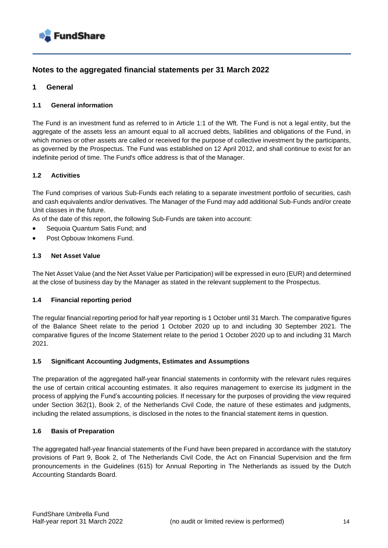

### **Notes to the aggregated financial statements per 31 March 2022**

#### **1 General**

#### **1.1 General information**

The Fund is an investment fund as referred to in Article 1:1 of the Wft. The Fund is not a legal entity, but the aggregate of the assets less an amount equal to all accrued debts, liabilities and obligations of the Fund, in which monies or other assets are called or received for the purpose of collective investment by the participants, as governed by the Prospectus. The Fund was established on 12 April 2012, and shall continue to exist for an indefinite period of time. The Fund's office address is that of the Manager.

#### **1.2 Activities**

The Fund comprises of various Sub-Funds each relating to a separate investment portfolio of securities, cash and cash equivalents and/or derivatives. The Manager of the Fund may add additional Sub-Funds and/or create Unit classes in the future.

As of the date of this report, the following Sub-Funds are taken into account:

- Sequoia Quantum Satis Fund; and
- Post Opbouw Inkomens Fund.

#### **1.3 Net Asset Value**

The Net Asset Value (and the Net Asset Value per Participation) will be expressed in euro (EUR) and determined at the close of business day by the Manager as stated in the relevant supplement to the Prospectus.

#### **1.4 Financial reporting period**

The regular financial reporting period for half year reporting is 1 October until 31 March. The comparative figures of the Balance Sheet relate to the period 1 October 2020 up to and including 30 September 2021. The comparative figures of the Income Statement relate to the period 1 October 2020 up to and including 31 March 2021.

#### **1.5 Significant Accounting Judgments, Estimates and Assumptions**

The preparation of the aggregated half-year financial statements in conformity with the relevant rules requires the use of certain critical accounting estimates. It also requires management to exercise its judgment in the process of applying the Fund's accounting policies. If necessary for the purposes of providing the view required under Section 362(1), Book 2, of the Netherlands Civil Code, the nature of these estimates and judgments, including the related assumptions, is disclosed in the notes to the financial statement items in question.

#### **1.6 Basis of Preparation**

The aggregated half-year financial statements of the Fund have been prepared in accordance with the statutory provisions of Part 9, Book 2, of The Netherlands Civil Code, the Act on Financial Supervision and the firm pronouncements in the Guidelines (615) for Annual Reporting in The Netherlands as issued by the Dutch Accounting Standards Board.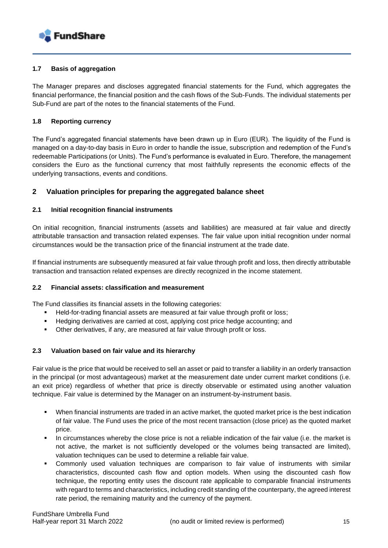

#### **1.7 Basis of aggregation**

The Manager prepares and discloses aggregated financial statements for the Fund, which aggregates the financial performance, the financial position and the cash flows of the Sub-Funds. The individual statements per Sub-Fund are part of the notes to the financial statements of the Fund.

#### **1.8 Reporting currency**

The Fund's aggregated financial statements have been drawn up in Euro (EUR). The liquidity of the Fund is managed on a day-to-day basis in Euro in order to handle the issue, subscription and redemption of the Fund's redeemable Participations (or Units). The Fund's performance is evaluated in Euro. Therefore, the management considers the Euro as the functional currency that most faithfully represents the economic effects of the underlying transactions, events and conditions.

#### **2 Valuation principles for preparing the aggregated balance sheet**

#### **2.1 Initial recognition financial instruments**

On initial recognition, financial instruments (assets and liabilities) are measured at fair value and directly attributable transaction and transaction related expenses. The fair value upon initial recognition under normal circumstances would be the transaction price of the financial instrument at the trade date.

If financial instruments are subsequently measured at fair value through profit and loss, then directly attributable transaction and transaction related expenses are directly recognized in the income statement.

#### **2.2 Financial assets: classification and measurement**

The Fund classifies its financial assets in the following categories:

- Held-for-trading financial assets are measured at fair value through profit or loss;
- Hedging derivatives are carried at cost, applying cost price hedge accounting; and
- Other derivatives, if any, are measured at fair value through profit or loss.

#### **2.3 Valuation based on fair value and its hierarchy**

Fair value is the price that would be received to sell an asset or paid to transfer a liability in an orderly transaction in the principal (or most advantageous) market at the measurement date under current market conditions (i.e. an exit price) regardless of whether that price is directly observable or estimated using another valuation technique. Fair value is determined by the Manager on an instrument-by-instrument basis.

- When financial instruments are traded in an active market, the quoted market price is the best indication of fair value. The Fund uses the price of the most recent transaction (close price) as the quoted market price.
- In circumstances whereby the close price is not a reliable indication of the fair value (i.e. the market is not active, the market is not sufficiently developed or the volumes being transacted are limited), valuation techniques can be used to determine a reliable fair value.
- Commonly used valuation techniques are comparison to fair value of instruments with similar characteristics, discounted cash flow and option models. When using the discounted cash flow technique, the reporting entity uses the discount rate applicable to comparable financial instruments with regard to terms and characteristics, including credit standing of the counterparty, the agreed interest rate period, the remaining maturity and the currency of the payment.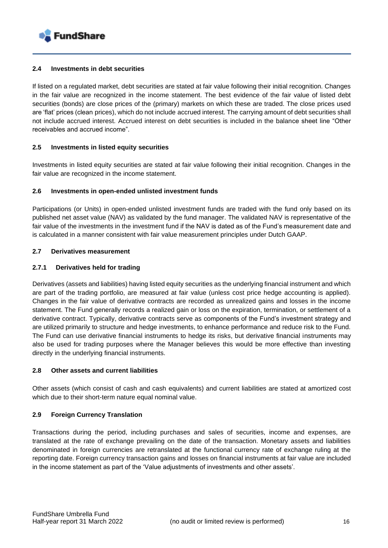

#### **2.4 Investments in debt securities**

If listed on a regulated market, debt securities are stated at fair value following their initial recognition. Changes in the fair value are recognized in the income statement. The best evidence of the fair value of listed debt securities (bonds) are close prices of the (primary) markets on which these are traded. The close prices used are 'flat' prices (clean prices), which do not include accrued interest. The carrying amount of debt securities shall not include accrued interest. Accrued interest on debt securities is included in the balance sheet line "Other receivables and accrued income".

#### **2.5 Investments in listed equity securities**

Investments in listed equity securities are stated at fair value following their initial recognition. Changes in the fair value are recognized in the income statement.

#### **2.6 Investments in open-ended unlisted investment funds**

Participations (or Units) in open-ended unlisted investment funds are traded with the fund only based on its published net asset value (NAV) as validated by the fund manager. The validated NAV is representative of the fair value of the investments in the investment fund if the NAV is dated as of the Fund's measurement date and is calculated in a manner consistent with fair value measurement principles under Dutch GAAP.

#### **2.7 Derivatives measurement**

#### **2.7.1 Derivatives held for trading**

Derivatives (assets and liabilities) having listed equity securities as the underlying financial instrument and which are part of the trading portfolio, are measured at fair value (unless cost price hedge accounting is applied). Changes in the fair value of derivative contracts are recorded as unrealized gains and losses in the income statement. The Fund generally records a realized gain or loss on the expiration, termination, or settlement of a derivative contract. Typically, derivative contracts serve as components of the Fund's investment strategy and are utilized primarily to structure and hedge investments, to enhance performance and reduce risk to the Fund. The Fund can use derivative financial instruments to hedge its risks, but derivative financial instruments may also be used for trading purposes where the Manager believes this would be more effective than investing directly in the underlying financial instruments.

#### **2.8 Other assets and current liabilities**

Other assets (which consist of cash and cash equivalents) and current liabilities are stated at amortized cost which due to their short-term nature equal nominal value.

#### **2.9 Foreign Currency Translation**

Transactions during the period, including purchases and sales of securities, income and expenses, are translated at the rate of exchange prevailing on the date of the transaction. Monetary assets and liabilities denominated in foreign currencies are retranslated at the functional currency rate of exchange ruling at the reporting date. Foreign currency transaction gains and losses on financial instruments at fair value are included in the income statement as part of the 'Value adjustments of investments and other assets'.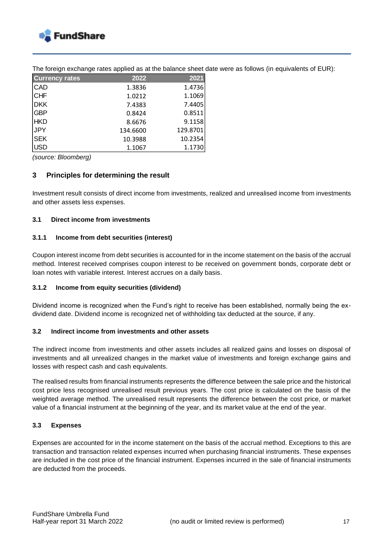

| <b>Currency rates</b> | 2022     | 2021     |
|-----------------------|----------|----------|
| <b>CAD</b>            | 1.3836   | 1.4736   |
| <b>CHF</b>            | 1.0212   | 1.1069   |
| DKK                   | 7.4383   | 7.4405   |
| <b>GBP</b>            | 0.8424   | 0.8511   |
| <b>HKD</b>            | 8.6676   | 9.1158   |
| JPY                   | 134.6600 | 129.8701 |
| <b>SEK</b>            | 10.3988  | 10.2354  |
| <b>USD</b>            | 1.1067   | 1.1730   |

The foreign exchange rates applied as at the balance sheet date were as follows (in equivalents of EUR):

*(source: Bloomberg)*

#### **3 Principles for determining the result**

Investment result consists of direct income from investments, realized and unrealised income from investments and other assets less expenses.

#### **3.1 Direct income from investments**

#### **3.1.1 Income from debt securities (interest)**

Coupon interest income from debt securities is accounted for in the income statement on the basis of the accrual method. Interest received comprises coupon interest to be received on government bonds, corporate debt or loan notes with variable interest. Interest accrues on a daily basis.

#### **3.1.2 Income from equity securities (dividend)**

Dividend income is recognized when the Fund's right to receive has been established, normally being the exdividend date. Dividend income is recognized net of withholding tax deducted at the source, if any.

#### **3.2 Indirect income from investments and other assets**

The indirect income from investments and other assets includes all realized gains and losses on disposal of investments and all unrealized changes in the market value of investments and foreign exchange gains and losses with respect cash and cash equivalents.

The realised results from financial instruments represents the difference between the sale price and the historical cost price less recognised unrealised result previous years. The cost price is calculated on the basis of the weighted average method. The unrealised result represents the difference between the cost price, or market value of a financial instrument at the beginning of the year, and its market value at the end of the year.

#### **3.3 Expenses**

Expenses are accounted for in the income statement on the basis of the accrual method. Exceptions to this are transaction and transaction related expenses incurred when purchasing financial instruments. These expenses are included in the cost price of the financial instrument. Expenses incurred in the sale of financial instruments are deducted from the proceeds.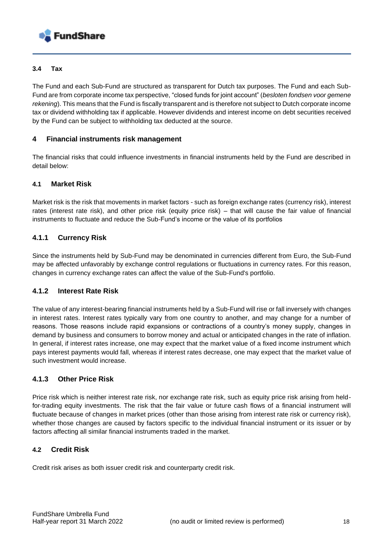

#### **3.4 Tax**

The Fund and each Sub-Fund are structured as transparent for Dutch tax purposes. The Fund and each Sub-Fund are from corporate income tax perspective, "closed funds for joint account" (*besloten fondsen voor gemene rekening*). This means that the Fund is fiscally transparent and is therefore not subject to Dutch corporate income tax or dividend withholding tax if applicable. However dividends and interest income on debt securities received by the Fund can be subject to withholding tax deducted at the source.

#### **4 Financial instruments risk management**

The financial risks that could influence investments in financial instruments held by the Fund are described in detail below:

#### **4.1 Market Risk**

Market risk is the risk that movements in market factors - such as foreign exchange rates (currency risk), interest rates (interest rate risk), and other price risk (equity price risk) – that will cause the fair value of financial instruments to fluctuate and reduce the Sub-Fund's income or the value of its portfolios

#### **4.1.1 Currency Risk**

Since the instruments held by Sub-Fund may be denominated in currencies different from Euro, the Sub-Fund may be affected unfavorably by exchange control regulations or fluctuations in currency rates. For this reason, changes in currency exchange rates can affect the value of the Sub-Fund's portfolio.

#### **4.1.2 Interest Rate Risk**

The value of any interest-bearing financial instruments held by a Sub-Fund will rise or fall inversely with changes in interest rates. Interest rates typically vary from one country to another, and may change for a number of reasons. Those reasons include rapid expansions or contractions of a country's money supply, changes in demand by business and consumers to borrow money and actual or anticipated changes in the rate of inflation. In general, if interest rates increase, one may expect that the market value of a fixed income instrument which pays interest payments would fall, whereas if interest rates decrease, one may expect that the market value of such investment would increase.

#### **4.1.3 Other Price Risk**

Price risk which is neither interest rate risk, nor exchange rate risk, such as equity price risk arising from heldfor-trading equity investments. The risk that the fair value or future cash flows of a financial instrument will fluctuate because of changes in market prices (other than those arising from interest rate risk or currency risk), whether those changes are caused by factors specific to the individual financial instrument or its issuer or by factors affecting all similar financial instruments traded in the market.

#### **4.2 Credit Risk**

Credit risk arises as both issuer credit risk and counterparty credit risk.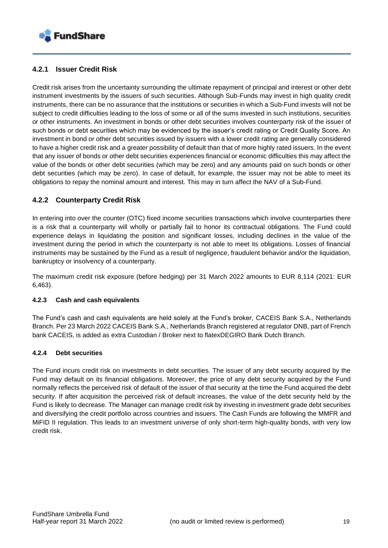

#### **4.2.1 Issuer Credit Risk**

Credit risk arises from the uncertainty surrounding the ultimate repayment of principal and interest or other debt instrument investments by the issuers of such securities. Although Sub-Funds may invest in high quality credit instruments, there can be no assurance that the institutions or securities in which a Sub-Fund invests will not be subject to credit difficulties leading to the loss of some or all of the sums invested in such institutions, securities or other instruments. An investment in bonds or other debt securities involves counterparty risk of the issuer of such bonds or debt securities which may be evidenced by the issuer's credit rating or Credit Quality Score. An investment in bond or other debt securities issued by issuers with a lower credit rating are generally considered to have a higher credit risk and a greater possibility of default than that of more highly rated issuers. In the event that any issuer of bonds or other debt securities experiences financial or economic difficulties this may affect the value of the bonds or other debt securities (which may be zero) and any amounts paid on such bonds or other debt securities (which may be zero). In case of default, for example, the issuer may not be able to meet its obligations to repay the nominal amount and interest. This may in turn affect the NAV of a Sub-Fund.

#### **4.2.2 Counterparty Credit Risk**

In entering into over the counter (OTC) fixed income securities transactions which involve counterparties there is a risk that a counterparty will wholly or partially fail to honor its contractual obligations. The Fund could experience delays in liquidating the position and significant losses, including declines in the value of the investment during the period in which the counterparty is not able to meet its obligations. Losses of financial instruments may be sustained by the Fund as a result of negligence, fraudulent behavior and/or the liquidation, bankruptcy or insolvency of a counterparty.

The maximum credit risk exposure (before hedging) per 31 March 2022 amounts to EUR 8,114 (2021: EUR 6,463).

#### **4.2.3 Cash and cash equivalents**

The Fund's cash and cash equivalents are held solely at the Fund's broker, CACEIS Bank S.A., Netherlands Branch. Per 23 March 2022 CACEIS Bank S.A., Netherlands Branch registered at regulator DNB, part of French bank CACEIS, is added as extra Custodian / Broker next to flatexDEGIRO Bank Dutch Branch.

#### **4.2.4 Debt securities**

The Fund incurs credit risk on investments in debt securities. The issuer of any debt security acquired by the Fund may default on its financial obligations. Moreover, the price of any debt security acquired by the Fund normally reflects the perceived risk of default of the issuer of that security at the time the Fund acquired the debt security. If after acquisition the perceived risk of default increases, the value of the debt security held by the Fund is likely to decrease. The Manager can manage credit risk by investing in investment grade debt securities and diversifying the credit portfolio across countries and issuers. The Cash Funds are following the MMFR and MiFID II regulation. This leads to an investment universe of only short-term high-quality bonds, with very low credit risk.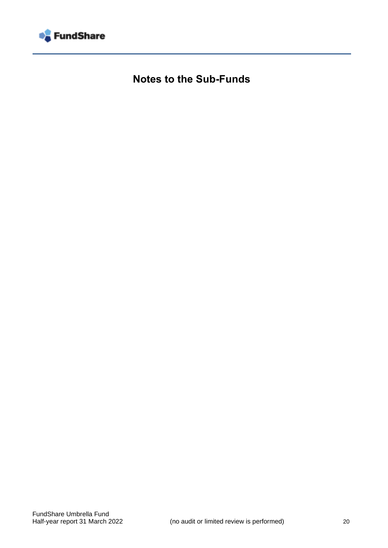

**Notes to the Sub-Funds**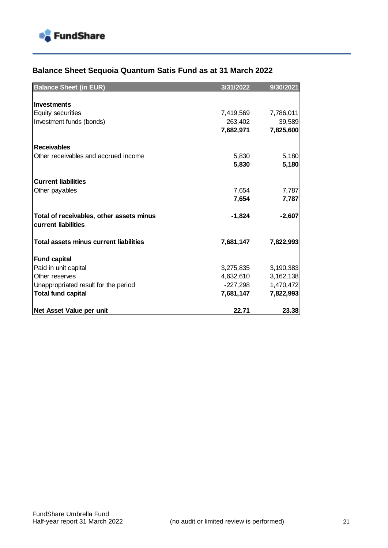

## **Balance Sheet Sequoia Quantum Satis Fund as at 31 March 2022**

| <b>Balance Sheet (in EUR)</b>            | 3/31/2022 | 9/30/2021 |
|------------------------------------------|-----------|-----------|
|                                          |           |           |
| <b>Investments</b>                       |           |           |
| <b>Equity securities</b>                 | 7,419,569 | 7,786,011 |
| Investment funds (bonds)                 | 263,402   | 39,589    |
|                                          | 7,682,971 | 7,825,600 |
|                                          |           |           |
| <b>Receivables</b>                       |           |           |
| Other receivables and accrued income     | 5,830     | 5,180     |
|                                          | 5,830     | 5,180     |
|                                          |           |           |
| <b>Current liabilities</b>               |           |           |
| Other payables                           | 7,654     | 7,787     |
|                                          | 7,654     | 7,787     |
|                                          |           |           |
| Total of receivables, other assets minus | $-1,824$  | $-2,607$  |
| current liabilities                      |           |           |
|                                          |           |           |
| Total assets minus current liabilities   | 7,681,147 | 7,822,993 |
|                                          |           |           |
| <b>Fund capital</b>                      |           |           |
| Paid in unit capital                     | 3,275,835 | 3,190,383 |
| Other reserves                           | 4,632,610 | 3,162,138 |
| Unappropriated result for the period     | -227,298  | 1,470,472 |
| <b>Total fund capital</b>                | 7,681,147 | 7,822,993 |
|                                          |           |           |
| Net Asset Value per unit                 | 22.71     | 23.38     |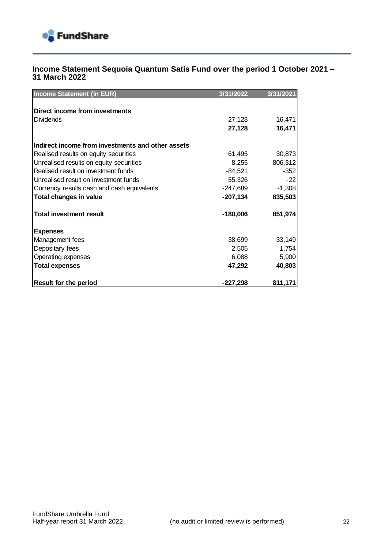

#### **Income Statement Sequoia Quantum Satis Fund over the period 1 October 2021 – 31 March 2022**

| <b>Income Statement (in EUR)</b>                  | 3/31/2022  | 3/31/2021 |
|---------------------------------------------------|------------|-----------|
| Direct income from investments                    |            |           |
|                                                   |            |           |
| <b>Dividends</b>                                  | 27,128     | 16,471    |
|                                                   | 27,128     | 16,471    |
| Indirect income from investments and other assets |            |           |
| Realised results on equity securities             | 61,495     | 30,873    |
| Unrealised results on equity securities           | 8,255      | 806,312   |
| Realised result on investment funds               | $-84,521$  | $-352$    |
| Unrealised result on investment funds             | 55,326     | $-22$     |
| Currency results cash and cash equivalents        | $-247,689$ | $-1,308$  |
| <b>Total changes in value</b>                     | $-207,134$ | 835,503   |
| <b>Total investment result</b>                    | $-180,006$ | 851,974   |
| <b>Expenses</b>                                   |            |           |
| Management fees                                   | 38,699     | 33,149    |
| Depositary fees                                   | 2,505      | 1,754     |
| Operating expenses                                | 6,088      | 5,900     |
| <b>Total expenses</b>                             | 47,292     | 40,803    |
| <b>Result for the period</b>                      | $-227,298$ | 811,171   |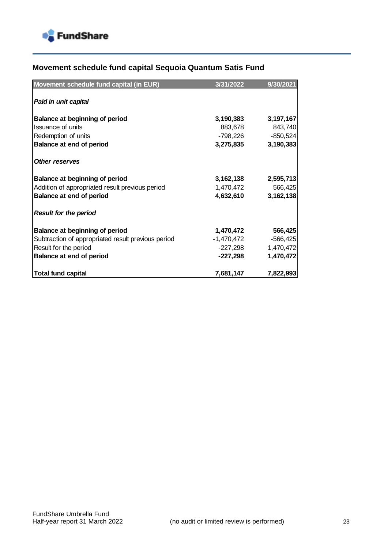

## **Movement schedule fund capital Sequoia Quantum Satis Fund**

| Movement schedule fund capital (in EUR)            | 3/31/2022  | 9/30/2021  |
|----------------------------------------------------|------------|------------|
|                                                    |            |            |
| Paid in unit capital                               |            |            |
| <b>Balance at beginning of period</b>              | 3,190,383  | 3,197,167  |
| Issuance of units                                  | 883,678    | 843,740    |
| Redemption of units                                | -798,226   | $-850,524$ |
| Balance at end of period                           | 3,275,835  | 3,190,383  |
| <b>Other reserves</b>                              |            |            |
| Balance at beginning of period                     | 3,162,138  | 2,595,713  |
| Addition of appropriated result previous period    | 1,470,472  | 566,425    |
| Balance at end of period                           | 4,632,610  | 3,162,138  |
| <b>Result for the period</b>                       |            |            |
| Balance at beginning of period                     | 1,470,472  | 566,425    |
| Subtraction of appropriated result previous period | -1,470,472 | $-566,425$ |
| Result for the period                              | -227,298   | 1,470,472  |
| <b>Balance at end of period</b>                    | $-227,298$ | 1,470,472  |
| Total fund capital                                 | 7,681,147  | 7,822,993  |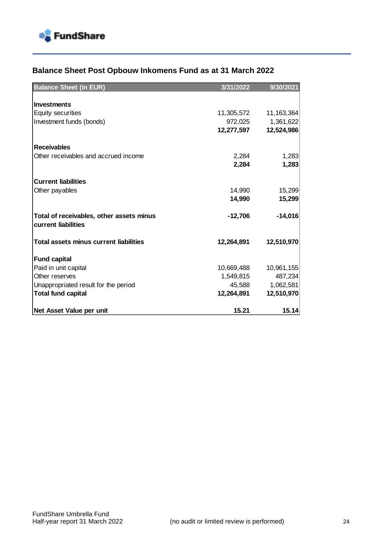

## **Balance Sheet Post Opbouw Inkomens Fund as at 31 March 2022**

| <b>Balance Sheet (in EUR)</b>            | 3/31/2022  | 9/30/2021    |
|------------------------------------------|------------|--------------|
|                                          |            |              |
| <b>Investments</b>                       |            |              |
| <b>Equity securities</b>                 | 11,305,572 | 11, 163, 364 |
| Investment funds (bonds)                 | 972,025    | 1,361,622    |
|                                          | 12,277,597 | 12,524,986   |
|                                          |            |              |
| <b>Receivables</b>                       |            |              |
| Other receivables and accrued income     | 2,284      | 1,283        |
|                                          | 2,284      | 1,283        |
|                                          |            |              |
| <b>Current liabilities</b>               |            |              |
| Other payables                           | 14,990     | 15,299       |
|                                          | 14,990     | 15,299       |
|                                          |            |              |
| Total of receivables, other assets minus | $-12,706$  | $-14,016$    |
| current liabilities                      |            |              |
|                                          |            |              |
| Total assets minus current liabilities   | 12,264,891 | 12,510,970   |
| <b>Fund capital</b>                      |            |              |
| Paid in unit capital                     | 10,669,488 | 10,961,155   |
| Other reserves                           | 1,549,815  | 487,234      |
| Unappropriated result for the period     | 45,588     | 1,062,581    |
| <b>Total fund capital</b>                | 12,264,891 | 12,510,970   |
|                                          |            |              |
| Net Asset Value per unit                 | 15.21      | 15.14        |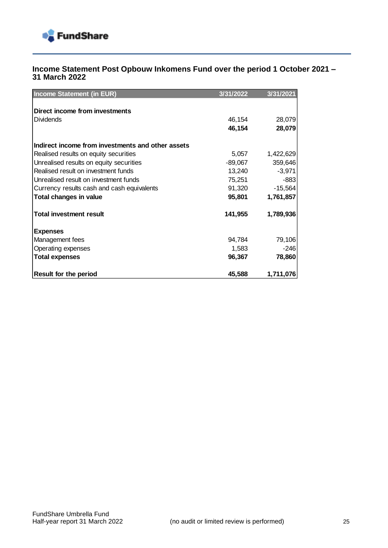

#### **Income Statement Post Opbouw Inkomens Fund over the period 1 October 2021 – 31 March 2022**

| <b>Income Statement (in EUR)</b>                  | 3/31/2022 | 3/31/2021 |
|---------------------------------------------------|-----------|-----------|
|                                                   |           |           |
| Direct income from investments                    |           |           |
| <b>Dividends</b>                                  | 46,154    | 28,079    |
|                                                   | 46,154    | 28,079    |
| Indirect income from investments and other assets |           |           |
| Realised results on equity securities             | 5,057     | 1,422,629 |
| Unrealised results on equity securities           | -89,067   | 359,646   |
| Realised result on investment funds               | 13,240    | $-3,971$  |
| Unrealised result on investment funds             | 75,251    | $-883$    |
| Currency results cash and cash equivalents        | 91,320    | $-15,564$ |
| Total changes in value                            | 95,801    | 1,761,857 |
| <b>Total investment result</b>                    | 141,955   | 1,789,936 |
| <b>Expenses</b>                                   |           |           |
| Management fees                                   | 94,784    | 79,106    |
| Operating expenses                                | 1,583     | $-246$    |
| <b>Total expenses</b>                             | 96,367    | 78,860    |
| <b>Result for the period</b>                      | 45,588    | 1,711,076 |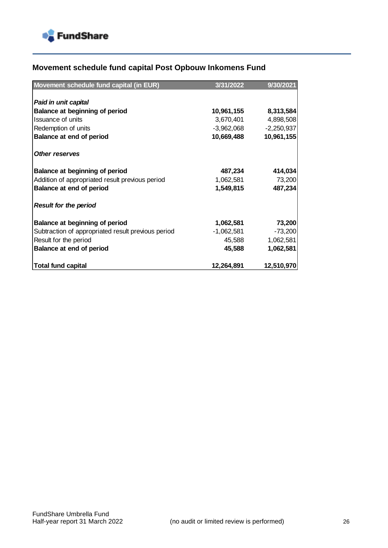

## **Movement schedule fund capital Post Opbouw Inkomens Fund**

| Movement schedule fund capital (in EUR)            | 3/31/2022    | 9/30/2021    |
|----------------------------------------------------|--------------|--------------|
|                                                    |              |              |
| Paid in unit capital                               |              |              |
| Balance at beginning of period                     | 10,961,155   | 8,313,584    |
| Issuance of units                                  | 3,670,401    | 4,898,508    |
| Redemption of units                                | $-3,962,068$ | $-2,250,937$ |
| Balance at end of period                           | 10,669,488   | 10,961,155   |
| <b>Other reserves</b>                              |              |              |
|                                                    |              |              |
| Balance at beginning of period                     | 487,234      | 414,034      |
| Addition of appropriated result previous period    | 1,062,581    | 73,200       |
| Balance at end of period                           | 1,549,815    | 487,234      |
| <b>Result for the period</b>                       |              |              |
| Balance at beginning of period                     | 1,062,581    | 73,200       |
| Subtraction of appropriated result previous period | $-1,062,581$ | $-73,200$    |
| Result for the period                              | 45,588       | 1,062,581    |
| Balance at end of period                           | 45,588       | 1,062,581    |
| <b>Total fund capital</b>                          | 12,264,891   | 12,510,970   |